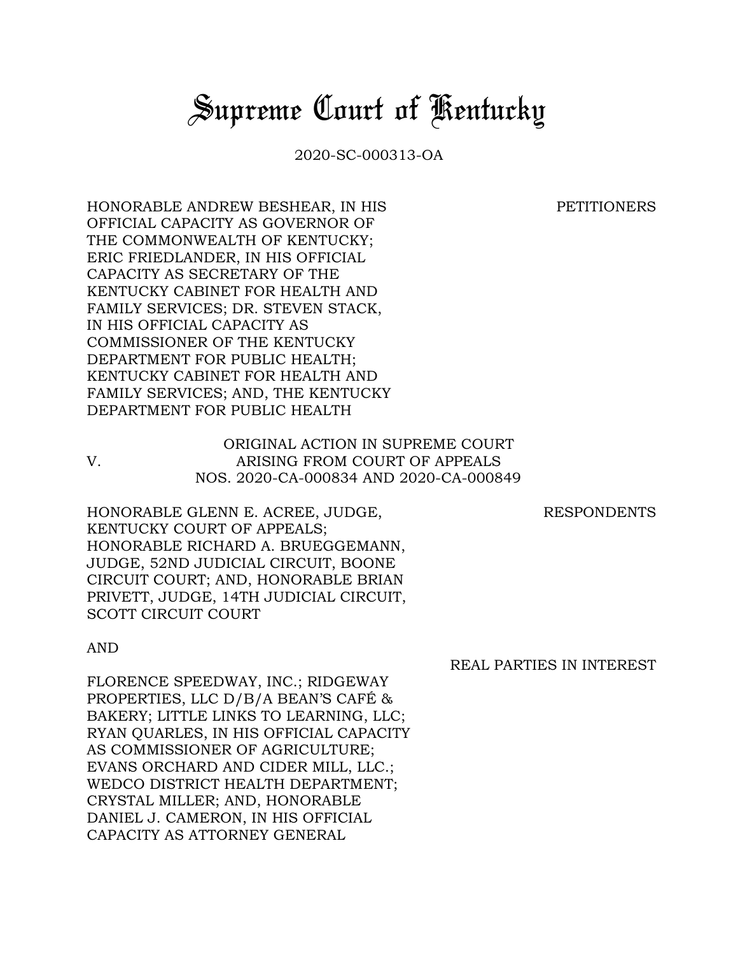## *Supreme Court of Kentucky*

2020-SC-000313-OA

## PETITIONERS

HONORABLE ANDREW BESHEAR, IN HIS OFFICIAL CAPACITY AS GOVERNOR OF THE COMMONWEALTH OF KENTUCKY; ERIC FRIEDLANDER, IN HIS OFFICIAL CAPACITY AS SECRETARY OF THE KENTUCKY CABINET FOR HEALTH AND FAMILY SERVICES; DR. STEVEN STACK, IN HIS OFFICIAL CAPACITY AS COMMISSIONER OF THE KENTUCKY DEPARTMENT FOR PUBLIC HEALTH; KENTUCKY CABINET FOR HEALTH AND FAMILY SERVICES; AND, THE KENTUCKY DEPARTMENT FOR PUBLIC HEALTH

ORIGINAL ACTION IN SUPREME COURT V. ARISING FROM COURT OF APPEALS NOS. 2020-CA-000834 AND 2020-CA-000849

RESPONDENTS

HONORABLE GLENN E. ACREE, JUDGE, KENTUCKY COURT OF APPEALS; HONORABLE RICHARD A. BRUEGGEMANN, JUDGE, 52ND JUDICIAL CIRCUIT, BOONE CIRCUIT COURT; AND, HONORABLE BRIAN PRIVETT, JUDGE, 14TH JUDICIAL CIRCUIT, SCOTT CIRCUIT COURT

## AND

FLORENCE SPEEDWAY, INC.; RIDGEWAY PROPERTIES, LLC D/B/A BEAN'S CAFÉ & BAKERY; LITTLE LINKS TO LEARNING, LLC; RYAN QUARLES, IN HIS OFFICIAL CAPACITY AS COMMISSIONER OF AGRICULTURE; EVANS ORCHARD AND CIDER MILL, LLC.; WEDCO DISTRICT HEALTH DEPARTMENT; CRYSTAL MILLER; AND, HONORABLE DANIEL J. CAMERON, IN HIS OFFICIAL CAPACITY AS ATTORNEY GENERAL

REAL PARTIES IN INTEREST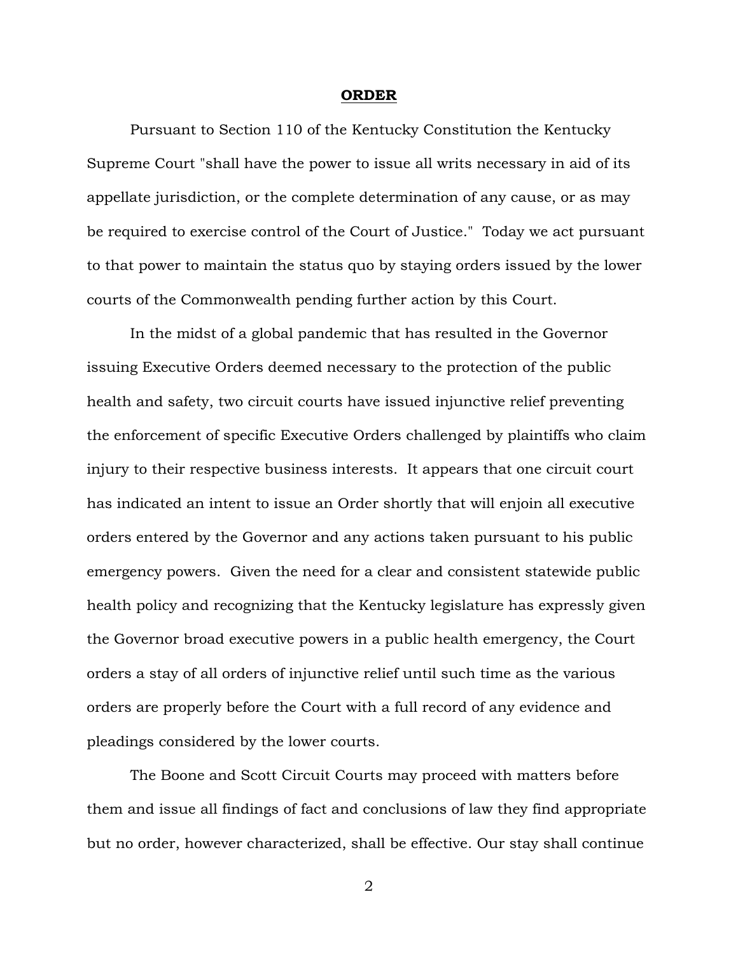## **ORDER**

Pursuant to Section 110 of the Kentucky Constitution the Kentucky Supreme Court "shall have the power to issue all writs necessary in aid of its appellate jurisdiction, or the complete determination of any cause, or as may be required to exercise control of the Court of Justice." Today we act pursuant to that power to maintain the status quo by staying orders issued by the lower courts of the Commonwealth pending further action by this Court.

In the midst of a global pandemic that has resulted in the Governor issuing Executive Orders deemed necessary to the protection of the public health and safety, two circuit courts have issued injunctive relief preventing the enforcement of specific Executive Orders challenged by plaintiffs who claim injury to their respective business interests. It appears that one circuit court has indicated an intent to issue an Order shortly that will enjoin all executive orders entered by the Governor and any actions taken pursuant to his public emergency powers. Given the need for a clear and consistent statewide public health policy and recognizing that the Kentucky legislature has expressly given the Governor broad executive powers in a public health emergency, the Court orders a stay of all orders of injunctive relief until such time as the various orders are properly before the Court with a full record of any evidence and pleadings considered by the lower courts.

The Boone and Scott Circuit Courts may proceed with matters before them and issue all findings of fact and conclusions of law they find appropriate but no order, however characterized, shall be effective. Our stay shall continue

2